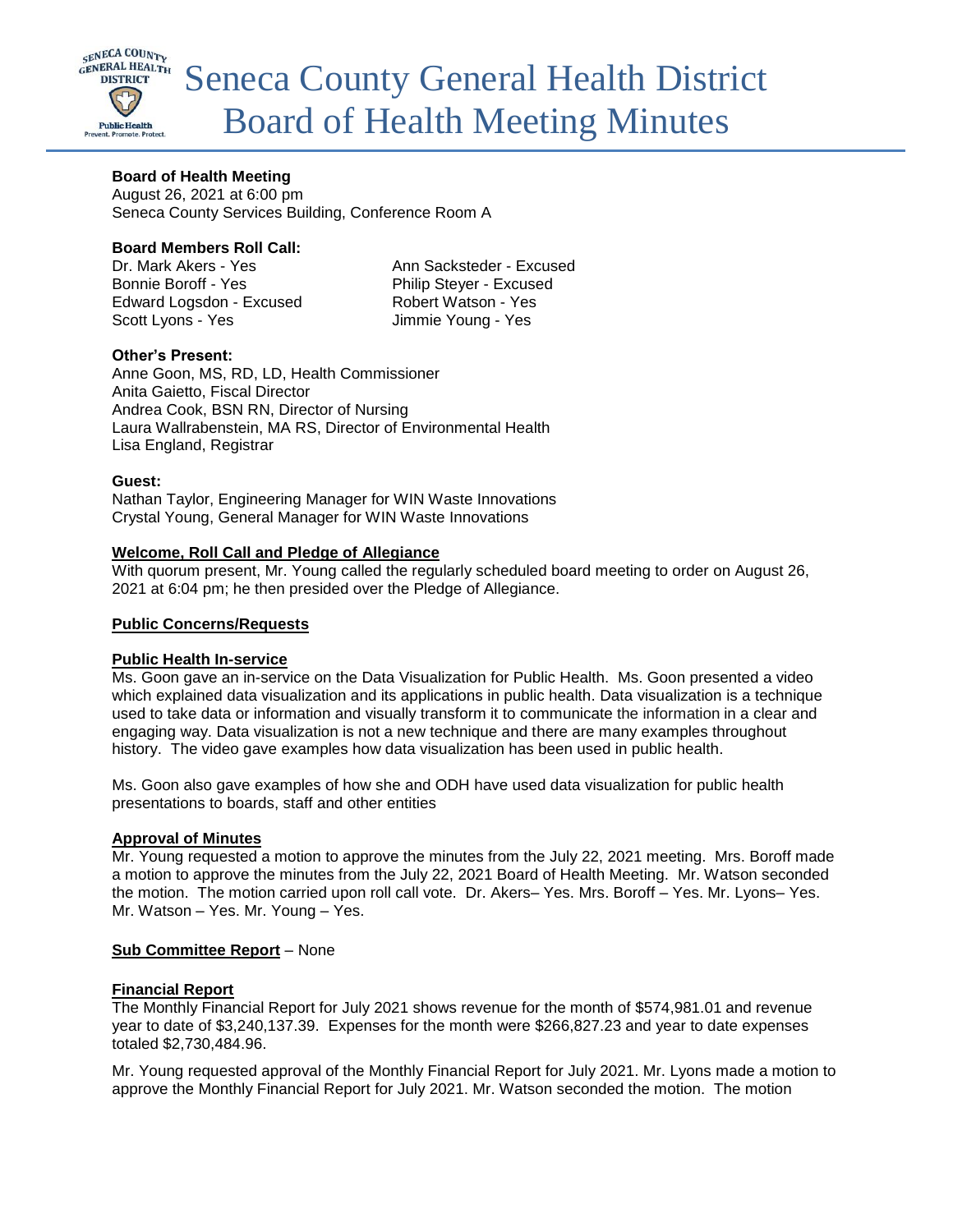

## **Board of Health Meeting**

August 26, 2021 at 6:00 pm Seneca County Services Building, Conference Room A

### **Board Members Roll Call:**

Dr. Mark Akers - Yes Ann Sacksteder - Excused Bonnie Boroff - Yes Philip Stever - Excused Edward Logsdon - Excused Robert Watson - Yes Scott Lyons - Yes Jimmie Young - Yes

## **Other's Present:**

Anne Goon, MS, RD, LD, Health Commissioner Anita Gaietto, Fiscal Director Andrea Cook, BSN RN, Director of Nursing Laura Wallrabenstein, MA RS, Director of Environmental Health Lisa England, Registrar

### **Guest:**

Nathan Taylor, Engineering Manager for WIN Waste Innovations Crystal Young, General Manager for WIN Waste Innovations

### **Welcome, Roll Call and Pledge of Allegiance**

With quorum present, Mr. Young called the regularly scheduled board meeting to order on August 26, 2021 at 6:04 pm; he then presided over the Pledge of Allegiance.

### **Public Concerns/Requests**

### **Public Health In-service**

Ms. Goon gave an in-service on the Data Visualization for Public Health. Ms. Goon presented a video which explained data visualization and its applications in public health. Data visualization is a technique used to take data or information and visually transform it to communicate the information in a clear and engaging way. Data visualization is not a new technique and there are many examples throughout history. The video gave examples how data visualization has been used in public health.

Ms. Goon also gave examples of how she and ODH have used data visualization for public health presentations to boards, staff and other entities

### **Approval of Minutes**

Mr. Young requested a motion to approve the minutes from the July 22, 2021 meeting. Mrs. Boroff made a motion to approve the minutes from the July 22, 2021 Board of Health Meeting. Mr. Watson seconded the motion. The motion carried upon roll call vote. Dr. Akers– Yes. Mrs. Boroff – Yes. Mr. Lyons– Yes. Mr. Watson – Yes. Mr. Young – Yes.

### **Sub Committee Report** – None

### **Financial Report**

The Monthly Financial Report for July 2021 shows revenue for the month of \$574,981.01 and revenue year to date of \$3,240,137.39. Expenses for the month were \$266,827.23 and year to date expenses totaled \$2,730,484.96.

Mr. Young requested approval of the Monthly Financial Report for July 2021. Mr. Lyons made a motion to approve the Monthly Financial Report for July 2021. Mr. Watson seconded the motion. The motion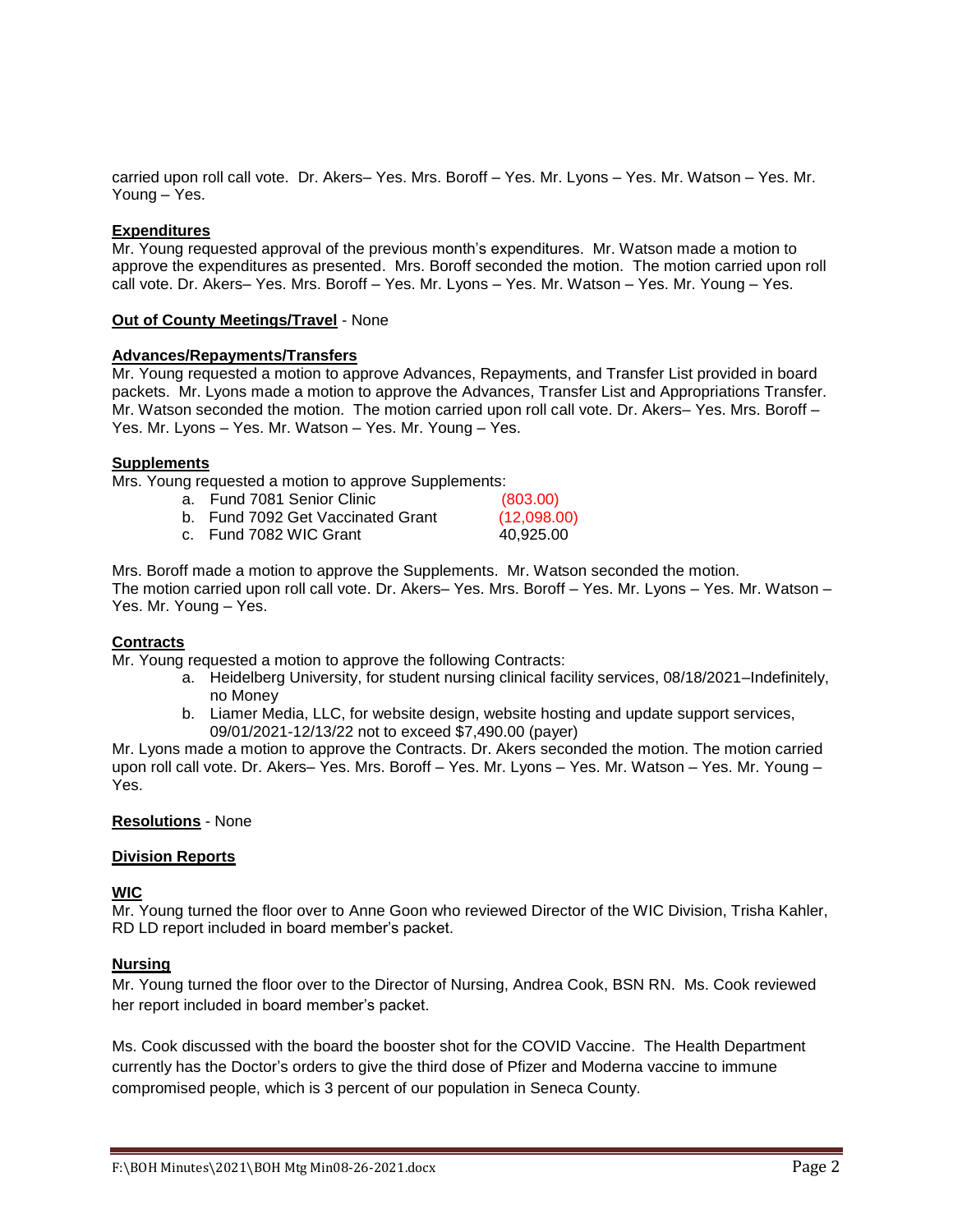carried upon roll call vote. Dr. Akers– Yes. Mrs. Boroff – Yes. Mr. Lyons – Yes. Mr. Watson – Yes. Mr. Young – Yes.

### **Expenditures**

Mr. Young requested approval of the previous month's expenditures. Mr. Watson made a motion to approve the expenditures as presented. Mrs. Boroff seconded the motion. The motion carried upon roll call vote. Dr. Akers– Yes. Mrs. Boroff – Yes. Mr. Lyons – Yes. Mr. Watson – Yes. Mr. Young – Yes.

#### **Out of County Meetings/Travel** - None

#### **Advances/Repayments/Transfers**

Mr. Young requested a motion to approve Advances, Repayments, and Transfer List provided in board packets. Mr. Lyons made a motion to approve the Advances, Transfer List and Appropriations Transfer. Mr. Watson seconded the motion. The motion carried upon roll call vote. Dr. Akers– Yes. Mrs. Boroff – Yes. Mr. Lyons – Yes. Mr. Watson – Yes. Mr. Young – Yes.

#### **Supplements**

Mrs. Young requested a motion to approve Supplements:

| a. Fund 7081 Senior Clinic        | (803.00)    |
|-----------------------------------|-------------|
| b. Fund 7092 Get Vaccinated Grant | (12,098.00) |
| c. Fund 7082 WIC Grant            | 40.925.00   |

Mrs. Boroff made a motion to approve the Supplements. Mr. Watson seconded the motion. The motion carried upon roll call vote. Dr. Akers– Yes. Mrs. Boroff – Yes. Mr. Lyons – Yes. Mr. Watson – Yes. Mr. Young – Yes.

### **Contracts**

Mr. Young requested a motion to approve the following Contracts:

- a. Heidelberg University, for student nursing clinical facility services, 08/18/2021–Indefinitely, no Money
- b. Liamer Media, LLC, for website design, website hosting and update support services, 09/01/2021-12/13/22 not to exceed \$7,490.00 (payer)

Mr. Lyons made a motion to approve the Contracts. Dr. Akers seconded the motion. The motion carried upon roll call vote. Dr. Akers– Yes. Mrs. Boroff – Yes. Mr. Lyons – Yes. Mr. Watson – Yes. Mr. Young – Yes.

#### **Resolutions** - None

### **Division Reports**

## **WIC**

Mr. Young turned the floor over to Anne Goon who reviewed Director of the WIC Division, Trisha Kahler, RD LD report included in board member's packet.

### **Nursing**

Mr. Young turned the floor over to the Director of Nursing, Andrea Cook, BSN RN. Ms. Cook reviewed her report included in board member's packet.

Ms. Cook discussed with the board the booster shot for the COVID Vaccine. The Health Department currently has the Doctor's orders to give the third dose of Pfizer and Moderna vaccine to immune compromised people, which is 3 percent of our population in Seneca County.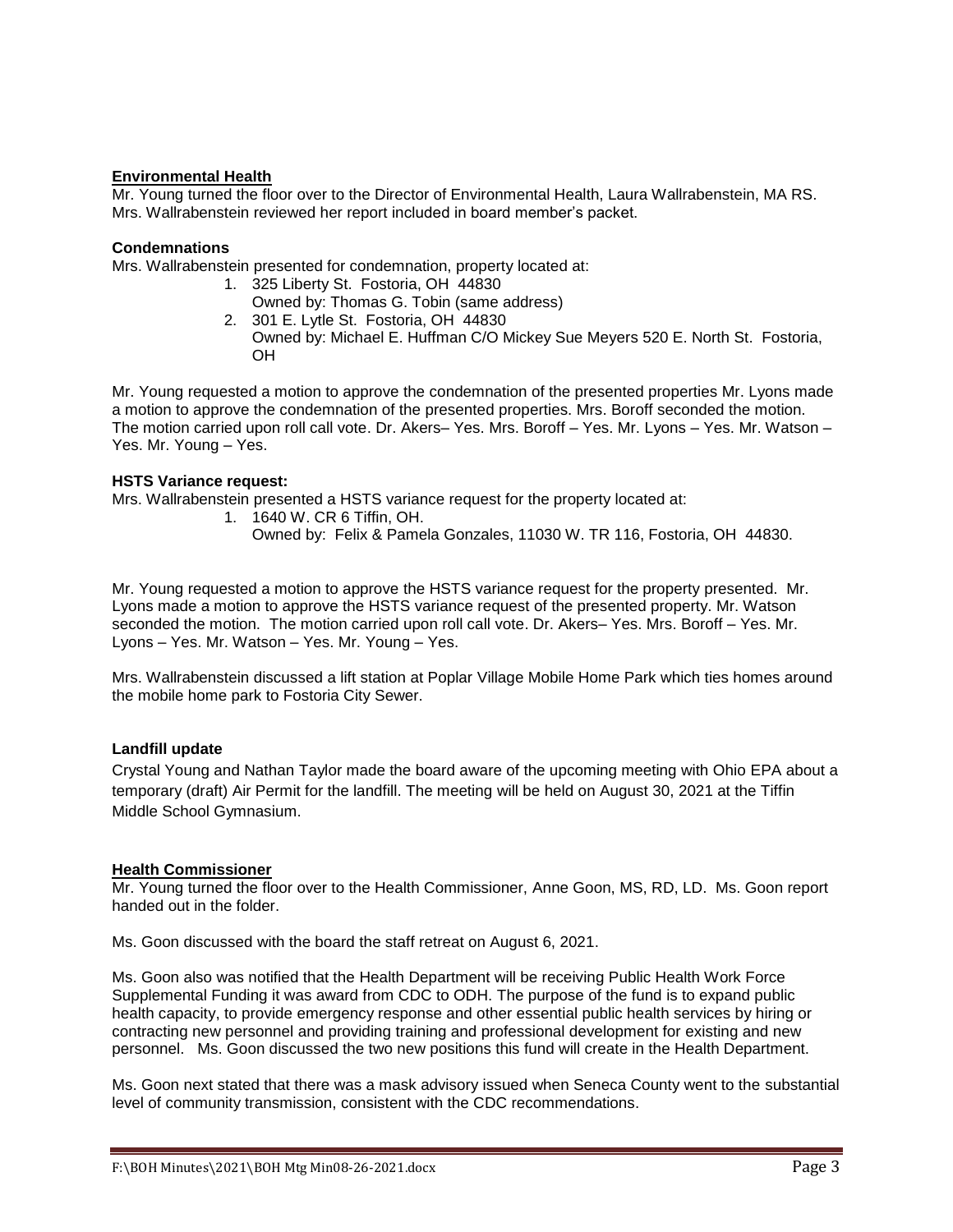## **Environmental Health**

Mr. Young turned the floor over to the Director of Environmental Health, Laura Wallrabenstein, MA RS. Mrs. Wallrabenstein reviewed her report included in board member's packet.

## **Condemnations**

Mrs. Wallrabenstein presented for condemnation, property located at:

- 1. 325 Liberty St. Fostoria, OH 44830
- Owned by: Thomas G. Tobin (same address) 2. 301 E. Lytle St. Fostoria, OH 44830
- Owned by: Michael E. Huffman C/O Mickey Sue Meyers 520 E. North St. Fostoria, OH

Mr. Young requested a motion to approve the condemnation of the presented properties Mr. Lyons made a motion to approve the condemnation of the presented properties. Mrs. Boroff seconded the motion. The motion carried upon roll call vote. Dr. Akers– Yes. Mrs. Boroff – Yes. Mr. Lyons – Yes. Mr. Watson – Yes. Mr. Young – Yes.

### **HSTS Variance request:**

Mrs. Wallrabenstein presented a HSTS variance request for the property located at:

- 1. 1640 W. CR 6 Tiffin, OH.
	- Owned by: Felix & Pamela Gonzales, 11030 W. TR 116, Fostoria, OH 44830.

Mr. Young requested a motion to approve the HSTS variance request for the property presented. Mr. Lyons made a motion to approve the HSTS variance request of the presented property. Mr. Watson seconded the motion. The motion carried upon roll call vote. Dr. Akers– Yes. Mrs. Boroff – Yes. Mr. Lyons – Yes. Mr. Watson – Yes. Mr. Young – Yes.

Mrs. Wallrabenstein discussed a lift station at Poplar Village Mobile Home Park which ties homes around the mobile home park to Fostoria City Sewer.

### **Landfill update**

Crystal Young and Nathan Taylor made the board aware of the upcoming meeting with Ohio EPA about a temporary (draft) Air Permit for the landfill. The meeting will be held on August 30, 2021 at the Tiffin Middle School Gymnasium.

### **Health Commissioner**

Mr. Young turned the floor over to the Health Commissioner, Anne Goon, MS, RD, LD. Ms. Goon report handed out in the folder.

Ms. Goon discussed with the board the staff retreat on August 6, 2021.

Ms. Goon also was notified that the Health Department will be receiving Public Health Work Force Supplemental Funding it was award from CDC to ODH. The purpose of the fund is to expand public health capacity, to provide emergency response and other essential public health services by hiring or contracting new personnel and providing training and professional development for existing and new personnel. Ms. Goon discussed the two new positions this fund will create in the Health Department.

Ms. Goon next stated that there was a mask advisory issued when Seneca County went to the substantial level of community transmission, consistent with the CDC recommendations.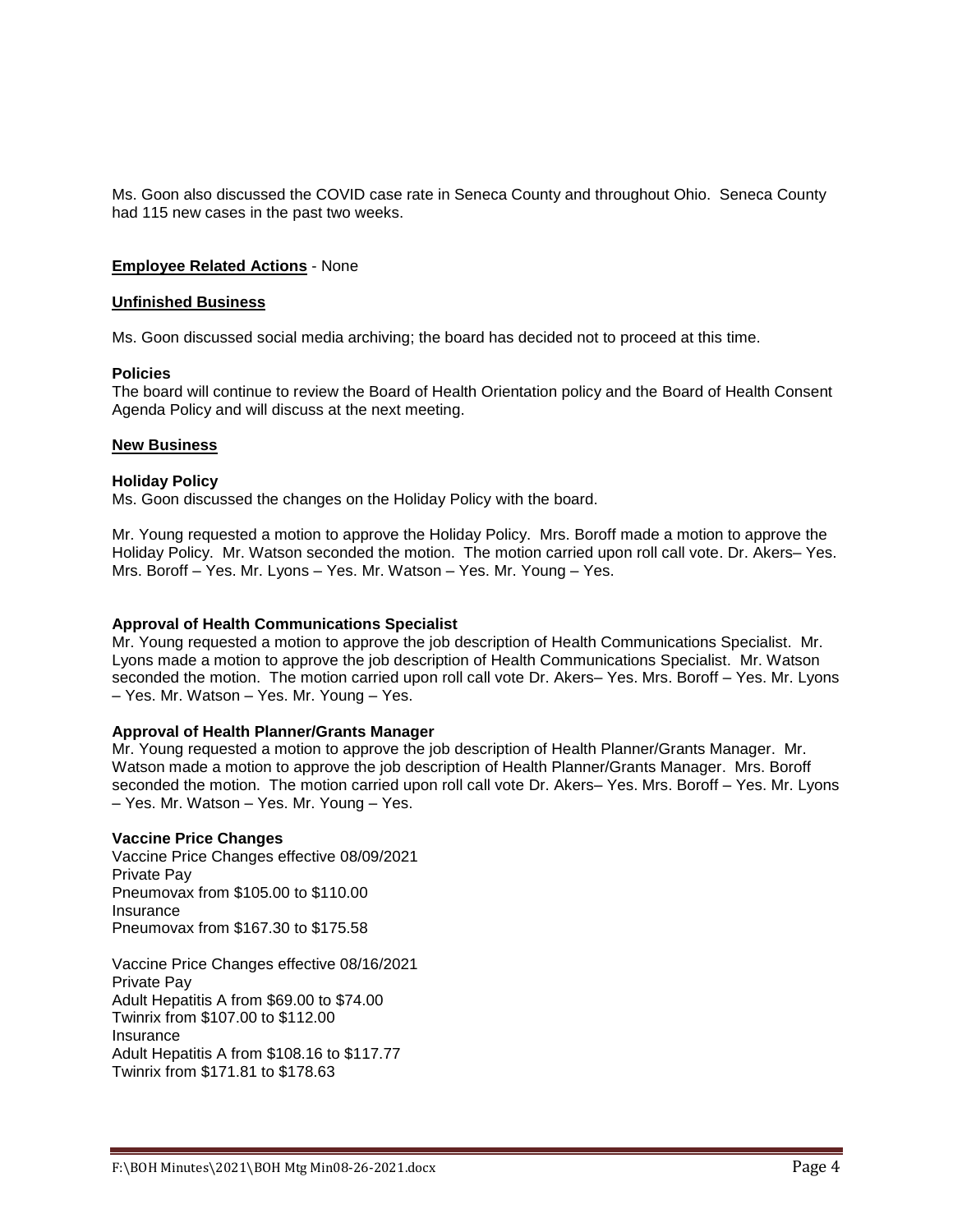Ms. Goon also discussed the COVID case rate in Seneca County and throughout Ohio. Seneca County had 115 new cases in the past two weeks.

#### **Employee Related Actions** - None

#### **Unfinished Business**

Ms. Goon discussed social media archiving; the board has decided not to proceed at this time.

#### **Policies**

The board will continue to review the Board of Health Orientation policy and the Board of Health Consent Agenda Policy and will discuss at the next meeting.

#### **New Business**

#### **Holiday Policy**

Ms. Goon discussed the changes on the Holiday Policy with the board.

Mr. Young requested a motion to approve the Holiday Policy. Mrs. Boroff made a motion to approve the Holiday Policy. Mr. Watson seconded the motion. The motion carried upon roll call vote. Dr. Akers– Yes. Mrs. Boroff – Yes. Mr. Lyons – Yes. Mr. Watson – Yes. Mr. Young – Yes.

#### **Approval of Health Communications Specialist**

Mr. Young requested a motion to approve the job description of Health Communications Specialist. Mr. Lyons made a motion to approve the job description of Health Communications Specialist. Mr. Watson seconded the motion. The motion carried upon roll call vote Dr. Akers– Yes. Mrs. Boroff – Yes. Mr. Lyons – Yes. Mr. Watson – Yes. Mr. Young – Yes.

### **Approval of Health Planner/Grants Manager**

Mr. Young requested a motion to approve the job description of Health Planner/Grants Manager. Mr. Watson made a motion to approve the job description of Health Planner/Grants Manager. Mrs. Boroff seconded the motion. The motion carried upon roll call vote Dr. Akers– Yes. Mrs. Boroff – Yes. Mr. Lyons – Yes. Mr. Watson – Yes. Mr. Young – Yes.

#### **Vaccine Price Changes**

Vaccine Price Changes effective 08/09/2021 Private Pay Pneumovax from \$105.00 to \$110.00 Insurance Pneumovax from \$167.30 to \$175.58

Vaccine Price Changes effective 08/16/2021 Private Pay Adult Hepatitis A from \$69.00 to \$74.00 Twinrix from \$107.00 to \$112.00 Insurance Adult Hepatitis A from \$108.16 to \$117.77 Twinrix from \$171.81 to \$178.63